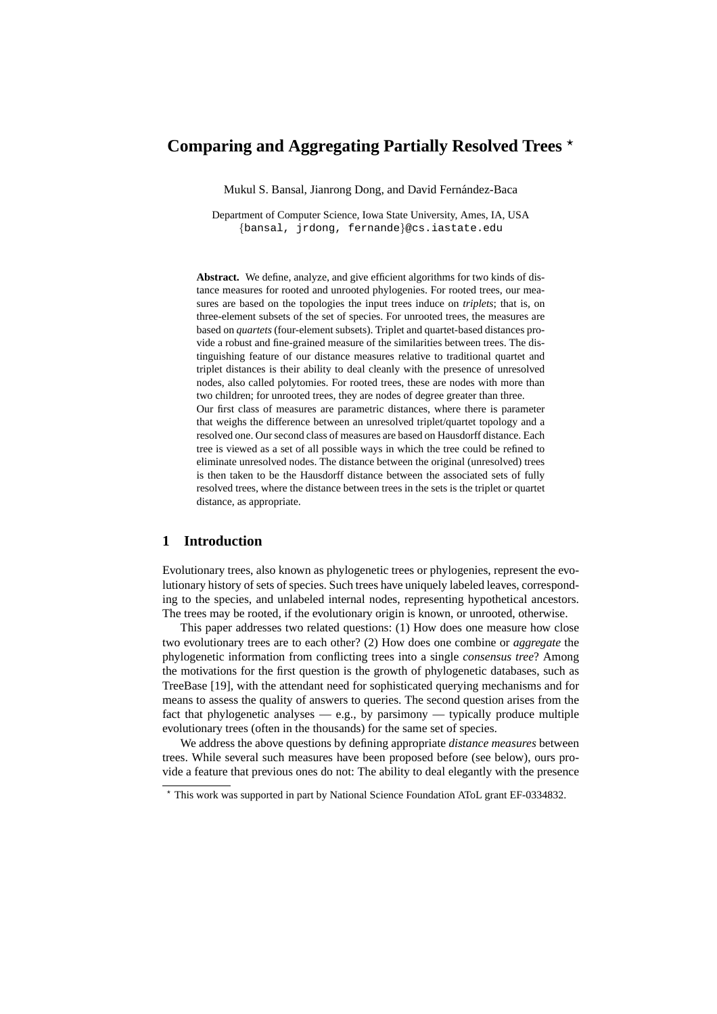# **Comparing and Aggregating Partially Resolved Trees** ?

Mukul S. Bansal, Jianrong Dong, and David Fernández-Baca

Department of Computer Science, Iowa State University, Ames, IA, USA {bansal, jrdong, fernande}@cs.iastate.edu

**Abstract.** We define, analyze, and give efficient algorithms for two kinds of distance measures for rooted and unrooted phylogenies. For rooted trees, our measures are based on the topologies the input trees induce on *triplets*; that is, on three-element subsets of the set of species. For unrooted trees, the measures are based on *quartets* (four-element subsets). Triplet and quartet-based distances provide a robust and fine-grained measure of the similarities between trees. The distinguishing feature of our distance measures relative to traditional quartet and triplet distances is their ability to deal cleanly with the presence of unresolved nodes, also called polytomies. For rooted trees, these are nodes with more than two children; for unrooted trees, they are nodes of degree greater than three. Our first class of measures are parametric distances, where there is parameter that weighs the difference between an unresolved triplet/quartet topology and a resolved one. Our second class of measures are based on Hausdorff distance. Each tree is viewed as a set of all possible ways in which the tree could be refined to eliminate unresolved nodes. The distance between the original (unresolved) trees is then taken to be the Hausdorff distance between the associated sets of fully resolved trees, where the distance between trees in the sets is the triplet or quartet distance, as appropriate.

#### **1 Introduction**

Evolutionary trees, also known as phylogenetic trees or phylogenies, represent the evolutionary history of sets of species. Such trees have uniquely labeled leaves, corresponding to the species, and unlabeled internal nodes, representing hypothetical ancestors. The trees may be rooted, if the evolutionary origin is known, or unrooted, otherwise.

This paper addresses two related questions: (1) How does one measure how close two evolutionary trees are to each other? (2) How does one combine or *aggregate* the phylogenetic information from conflicting trees into a single *consensus tree*? Among the motivations for the first question is the growth of phylogenetic databases, such as TreeBase [19], with the attendant need for sophisticated querying mechanisms and for means to assess the quality of answers to queries. The second question arises from the fact that phylogenetic analyses  $-$  e.g., by parsimony  $-$  typically produce multiple evolutionary trees (often in the thousands) for the same set of species.

We address the above questions by defining appropriate *distance measures* between trees. While several such measures have been proposed before (see below), ours provide a feature that previous ones do not: The ability to deal elegantly with the presence

<sup>?</sup> This work was supported in part by National Science Foundation AToL grant EF-0334832.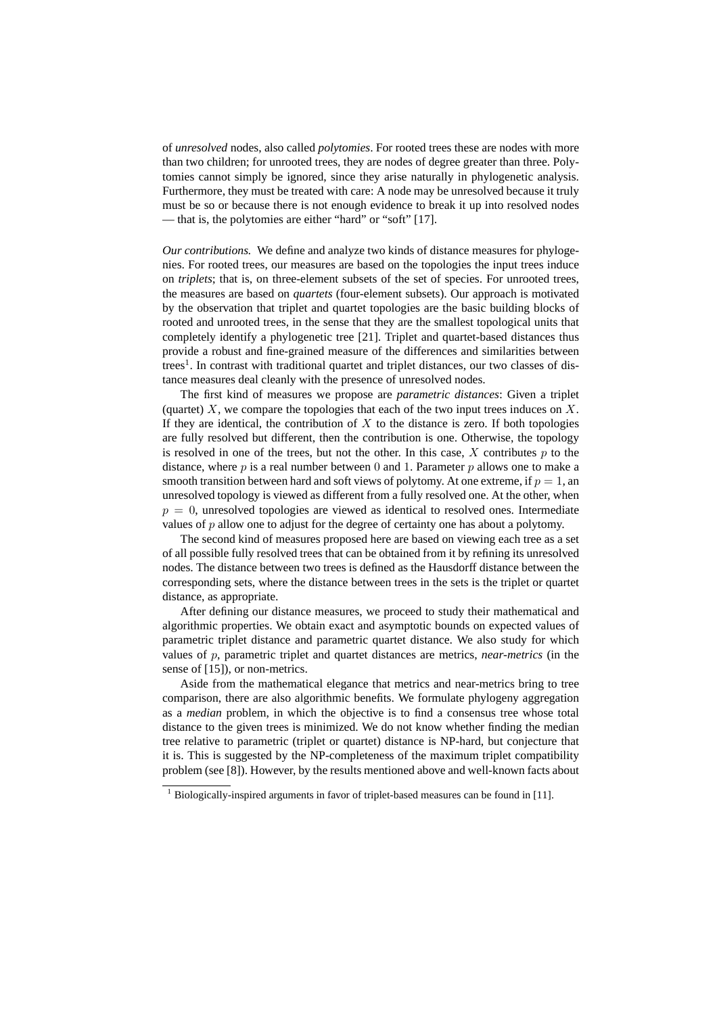of *unresolved* nodes, also called *polytomies*. For rooted trees these are nodes with more than two children; for unrooted trees, they are nodes of degree greater than three. Polytomies cannot simply be ignored, since they arise naturally in phylogenetic analysis. Furthermore, they must be treated with care: A node may be unresolved because it truly must be so or because there is not enough evidence to break it up into resolved nodes — that is, the polytomies are either "hard" or "soft" [17].

*Our contributions.* We define and analyze two kinds of distance measures for phylogenies. For rooted trees, our measures are based on the topologies the input trees induce on *triplets*; that is, on three-element subsets of the set of species. For unrooted trees, the measures are based on *quartets* (four-element subsets). Our approach is motivated by the observation that triplet and quartet topologies are the basic building blocks of rooted and unrooted trees, in the sense that they are the smallest topological units that completely identify a phylogenetic tree [21]. Triplet and quartet-based distances thus provide a robust and fine-grained measure of the differences and similarities between trees<sup>1</sup>. In contrast with traditional quartet and triplet distances, our two classes of distance measures deal cleanly with the presence of unresolved nodes.

The first kind of measures we propose are *parametric distances*: Given a triplet (quartet) X, we compare the topologies that each of the two input trees induces on  $X$ . If they are identical, the contribution of  $X$  to the distance is zero. If both topologies are fully resolved but different, then the contribution is one. Otherwise, the topology is resolved in one of the trees, but not the other. In this case,  $X$  contributes  $p$  to the distance, where  $p$  is a real number between 0 and 1. Parameter  $p$  allows one to make a smooth transition between hard and soft views of polytomy. At one extreme, if  $p = 1$ , an unresolved topology is viewed as different from a fully resolved one. At the other, when  $p = 0$ , unresolved topologies are viewed as identical to resolved ones. Intermediate values of p allow one to adjust for the degree of certainty one has about a polytomy.

The second kind of measures proposed here are based on viewing each tree as a set of all possible fully resolved trees that can be obtained from it by refining its unresolved nodes. The distance between two trees is defined as the Hausdorff distance between the corresponding sets, where the distance between trees in the sets is the triplet or quartet distance, as appropriate.

After defining our distance measures, we proceed to study their mathematical and algorithmic properties. We obtain exact and asymptotic bounds on expected values of parametric triplet distance and parametric quartet distance. We also study for which values of p, parametric triplet and quartet distances are metrics, *near-metrics* (in the sense of [15]), or non-metrics.

Aside from the mathematical elegance that metrics and near-metrics bring to tree comparison, there are also algorithmic benefits. We formulate phylogeny aggregation as a *median* problem, in which the objective is to find a consensus tree whose total distance to the given trees is minimized. We do not know whether finding the median tree relative to parametric (triplet or quartet) distance is NP-hard, but conjecture that it is. This is suggested by the NP-completeness of the maximum triplet compatibility problem (see [8]). However, by the results mentioned above and well-known facts about

 $1 \text{ Biologically-inspired arguments in favor of triplet-based measures can be found in [11].}$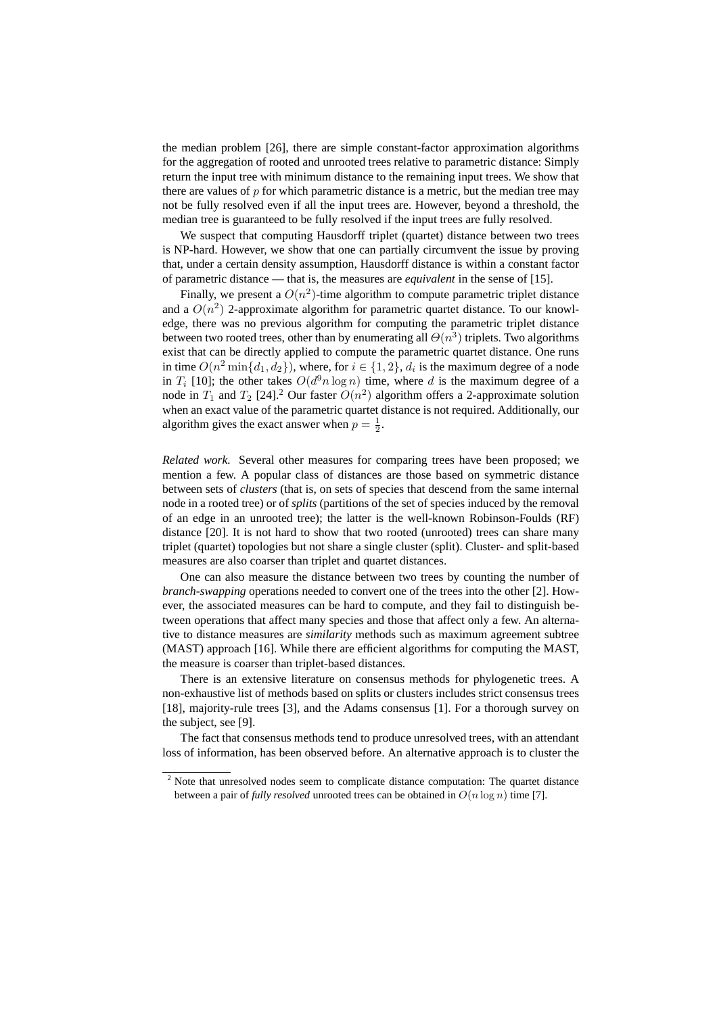the median problem [26], there are simple constant-factor approximation algorithms for the aggregation of rooted and unrooted trees relative to parametric distance: Simply return the input tree with minimum distance to the remaining input trees. We show that there are values of  $p$  for which parametric distance is a metric, but the median tree may not be fully resolved even if all the input trees are. However, beyond a threshold, the median tree is guaranteed to be fully resolved if the input trees are fully resolved.

We suspect that computing Hausdorff triplet (quartet) distance between two trees is NP-hard. However, we show that one can partially circumvent the issue by proving that, under a certain density assumption, Hausdorff distance is within a constant factor of parametric distance — that is, the measures are *equivalent* in the sense of [15].

Finally, we present a  $O(n^2)$ -time algorithm to compute parametric triplet distance and a  $O(n^2)$  2-approximate algorithm for parametric quartet distance. To our knowledge, there was no previous algorithm for computing the parametric triplet distance between two rooted trees, other than by enumerating all  $\Theta(n^3)$  triplets. Two algorithms exist that can be directly applied to compute the parametric quartet distance. One runs in time  $O(n^2 \min\{d_1, d_2\})$ , where, for  $i \in \{1, 2\}$ ,  $d_i$  is the maximum degree of a node in  $T_i$  [10]; the other takes  $O(d^9n \log n)$  time, where d is the maximum degree of a node in  $T_1$  and  $T_2$  [24].<sup>2</sup> Our faster  $O(n^2)$  algorithm offers a 2-approximate solution when an exact value of the parametric quartet distance is not required. Additionally, our algorithm gives the exact answer when  $p = \frac{1}{2}$ .

*Related work.* Several other measures for comparing trees have been proposed; we mention a few. A popular class of distances are those based on symmetric distance between sets of *clusters* (that is, on sets of species that descend from the same internal node in a rooted tree) or of *splits* (partitions of the set of species induced by the removal of an edge in an unrooted tree); the latter is the well-known Robinson-Foulds (RF) distance [20]. It is not hard to show that two rooted (unrooted) trees can share many triplet (quartet) topologies but not share a single cluster (split). Cluster- and split-based measures are also coarser than triplet and quartet distances.

One can also measure the distance between two trees by counting the number of *branch-swapping* operations needed to convert one of the trees into the other [2]. However, the associated measures can be hard to compute, and they fail to distinguish between operations that affect many species and those that affect only a few. An alternative to distance measures are *similarity* methods such as maximum agreement subtree (MAST) approach [16]. While there are efficient algorithms for computing the MAST, the measure is coarser than triplet-based distances.

There is an extensive literature on consensus methods for phylogenetic trees. A non-exhaustive list of methods based on splits or clusters includes strict consensus trees [18], majority-rule trees [3], and the Adams consensus [1]. For a thorough survey on the subject, see [9].

The fact that consensus methods tend to produce unresolved trees, with an attendant loss of information, has been observed before. An alternative approach is to cluster the

<sup>&</sup>lt;sup>2</sup> Note that unresolved nodes seem to complicate distance computation: The quartet distance between a pair of *fully resolved* unrooted trees can be obtained in  $O(n \log n)$  time [7].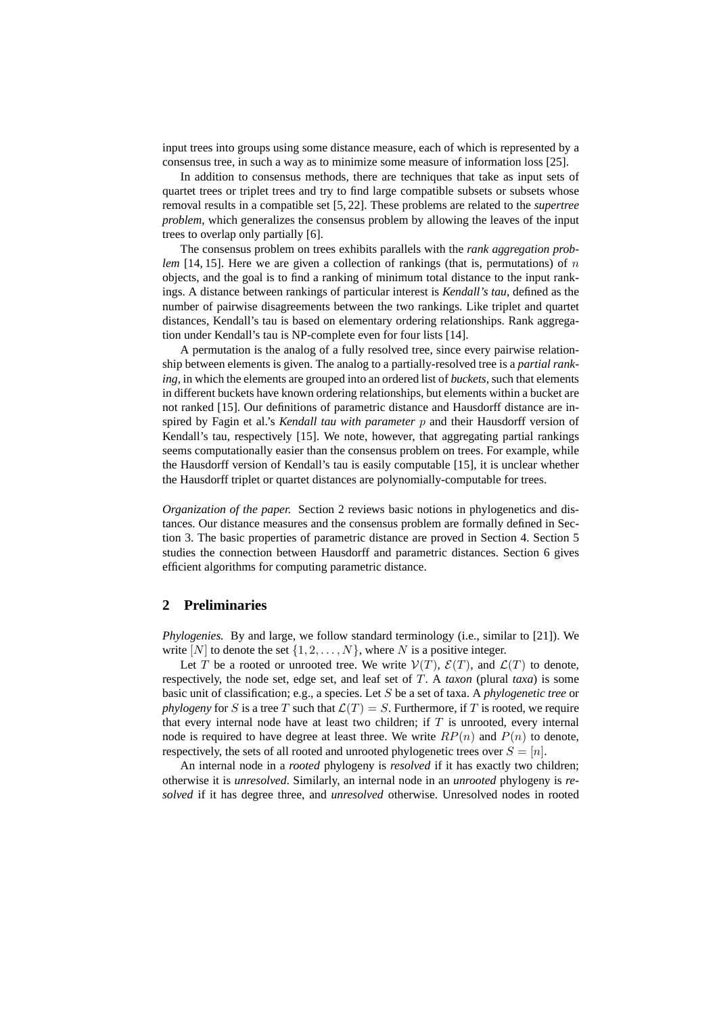input trees into groups using some distance measure, each of which is represented by a consensus tree, in such a way as to minimize some measure of information loss [25].

In addition to consensus methods, there are techniques that take as input sets of quartet trees or triplet trees and try to find large compatible subsets or subsets whose removal results in a compatible set [5, 22]. These problems are related to the *supertree problem*, which generalizes the consensus problem by allowing the leaves of the input trees to overlap only partially [6].

The consensus problem on trees exhibits parallels with the *rank aggregation problem* [14, 15]. Here we are given a collection of rankings (that is, permutations) of n objects, and the goal is to find a ranking of minimum total distance to the input rankings. A distance between rankings of particular interest is *Kendall's tau*, defined as the number of pairwise disagreements between the two rankings. Like triplet and quartet distances, Kendall's tau is based on elementary ordering relationships. Rank aggregation under Kendall's tau is NP-complete even for four lists [14].

A permutation is the analog of a fully resolved tree, since every pairwise relationship between elements is given. The analog to a partially-resolved tree is a *partial ranking*, in which the elements are grouped into an ordered list of *buckets*, such that elements in different buckets have known ordering relationships, but elements within a bucket are not ranked [15]. Our definitions of parametric distance and Hausdorff distance are inspired by Fagin et al.'s *Kendall tau with parameter* p and their Hausdorff version of Kendall's tau, respectively [15]. We note, however, that aggregating partial rankings seems computationally easier than the consensus problem on trees. For example, while the Hausdorff version of Kendall's tau is easily computable [15], it is unclear whether the Hausdorff triplet or quartet distances are polynomially-computable for trees.

*Organization of the paper.* Section 2 reviews basic notions in phylogenetics and distances. Our distance measures and the consensus problem are formally defined in Section 3. The basic properties of parametric distance are proved in Section 4. Section 5 studies the connection between Hausdorff and parametric distances. Section 6 gives efficient algorithms for computing parametric distance.

# **2 Preliminaries**

*Phylogenies.* By and large, we follow standard terminology (i.e., similar to [21]). We write  $[N]$  to denote the set  $\{1, 2, \ldots, N\}$ , where N is a positive integer.

Let T be a rooted or unrooted tree. We write  $V(T)$ ,  $\mathcal{E}(T)$ , and  $\mathcal{L}(T)$  to denote, respectively, the node set, edge set, and leaf set of T. A *taxon* (plural *taxa*) is some basic unit of classification; e.g., a species. Let S be a set of taxa. A *phylogenetic tree* or *phylogeny* for S is a tree T such that  $\mathcal{L}(T) = S$ . Furthermore, if T is rooted, we require that every internal node have at least two children; if  $T$  is unrooted, every internal node is required to have degree at least three. We write  $RP(n)$  and  $P(n)$  to denote, respectively, the sets of all rooted and unrooted phylogenetic trees over  $S = [n]$ .

An internal node in a *rooted* phylogeny is *resolved* if it has exactly two children; otherwise it is *unresolved*. Similarly, an internal node in an *unrooted* phylogeny is *resolved* if it has degree three, and *unresolved* otherwise. Unresolved nodes in rooted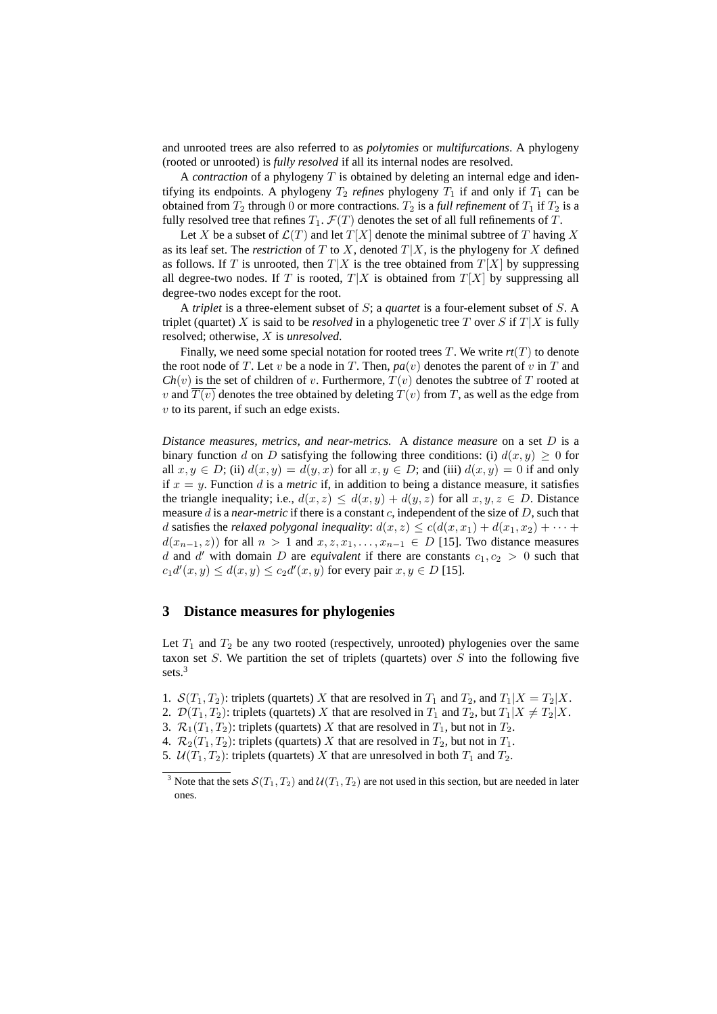and unrooted trees are also referred to as *polytomies* or *multifurcations*. A phylogeny (rooted or unrooted) is *fully resolved* if all its internal nodes are resolved.

A *contraction* of a phylogeny T is obtained by deleting an internal edge and identifying its endpoints. A phylogeny  $T_2$  *refines* phylogeny  $T_1$  if and only if  $T_1$  can be obtained from  $T_2$  through 0 or more contractions.  $T_2$  is a *full refinement* of  $T_1$  if  $T_2$  is a fully resolved tree that refines  $T_1$ .  $\mathcal{F}(T)$  denotes the set of all full refinements of T.

Let X be a subset of  $\mathcal{L}(T)$  and let  $T[X]$  denote the minimal subtree of T having X as its leaf set. The *restriction* of T to X, denoted  $T|X$ , is the phylogeny for X defined as follows. If T is unrooted, then  $T|X$  is the tree obtained from  $T[X]$  by suppressing all degree-two nodes. If T is rooted,  $T|X$  is obtained from  $T|X|$  by suppressing all degree-two nodes except for the root.

A *triplet* is a three-element subset of S; a *quartet* is a four-element subset of S. A triplet (quartet) X is said to be *resolved* in a phylogenetic tree T over S if  $T|X$  is fully resolved; otherwise, X is *unresolved*.

Finally, we need some special notation for rooted trees  $T$ . We write  $rt(T)$  to denote the root node of T. Let v be a node in T. Then,  $pa(v)$  denotes the parent of v in T and  $Ch(v)$  is the set of children of v. Furthermore,  $T(v)$  denotes the subtree of T rooted at v and  $T(v)$  denotes the tree obtained by deleting  $T(v)$  from T, as well as the edge from  $v$  to its parent, if such an edge exists.

*Distance measures, metrics, and near-metrics.* A *distance measure* on a set D is a binary function d on D satisfying the following three conditions: (i)  $d(x, y) > 0$  for all  $x, y \in D$ ; (ii)  $d(x, y) = d(y, x)$  for all  $x, y \in D$ ; and (iii)  $d(x, y) = 0$  if and only if  $x = y$ . Function d is a *metric* if, in addition to being a distance measure, it satisfies the triangle inequality; i.e.,  $d(x, z) \leq d(x, y) + d(y, z)$  for all  $x, y, z \in D$ . Distance measure d is a *near-metric* if there is a constant c, independent of the size of D, such that d satisfies the *relaxed polygonal inequality*:  $d(x, z) \le c(d(x, x_1) + d(x_1, x_2) + \cdots$  $d(x_{n-1}, z)$  for all  $n > 1$  and  $x, z, x_1, \ldots, x_{n-1} \in D$  [15]. Two distance measures d and d' with domain D are *equivalent* if there are constants  $c_1, c_2 > 0$  such that  $c_1 d'(x, y) \le d(x, y) \le c_2 d'(x, y)$  for every pair  $x, y \in D$  [15].

# **3 Distance measures for phylogenies**

Let  $T_1$  and  $T_2$  be any two rooted (respectively, unrooted) phylogenies over the same taxon set  $S$ . We partition the set of triplets (quartets) over  $S$  into the following five sets.<sup>3</sup>

- 1.  $\mathcal{S}(T_1, T_2)$ : triplets (quartets) X that are resolved in  $T_1$  and  $T_2$ , and  $T_1|X = T_2|X$ .
- 2.  $\mathcal{D}(T_1, T_2)$ : triplets (quartets) X that are resolved in  $T_1$  and  $T_2$ , but  $T_1|X \neq T_2|X$ .
- 3.  $\mathcal{R}_1(T_1, T_2)$ : triplets (quartets) X that are resolved in  $T_1$ , but not in  $T_2$ .
- 4.  $\mathcal{R}_2(T_1, T_2)$ : triplets (quartets) X that are resolved in  $T_2$ , but not in  $T_1$ .

<sup>5.</sup>  $U(T_1, T_2)$ : triplets (quartets) X that are unresolved in both  $T_1$  and  $T_2$ .

<sup>&</sup>lt;sup>3</sup> Note that the sets  $\mathcal{S}(T_1, T_2)$  and  $\mathcal{U}(T_1, T_2)$  are not used in this section, but are needed in later ones.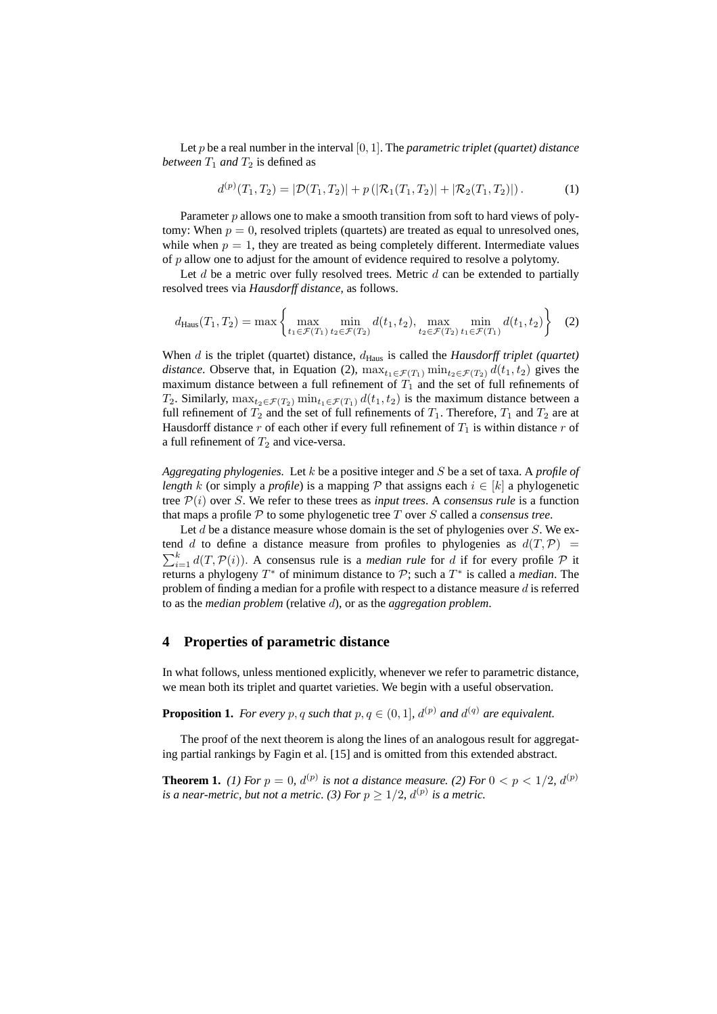Let p be a real number in the interval [0, 1]. The *parametric triplet (quartet) distance between*  $T_1$  *and*  $T_2$  *is defined as* 

$$
d^{(p)}(T_1, T_2) = |\mathcal{D}(T_1, T_2)| + p(|\mathcal{R}_1(T_1, T_2)| + |\mathcal{R}_2(T_1, T_2)|). \tag{1}
$$

Parameter  $p$  allows one to make a smooth transition from soft to hard views of polytomy: When  $p = 0$ , resolved triplets (quartets) are treated as equal to unresolved ones, while when  $p = 1$ , they are treated as being completely different. Intermediate values of p allow one to adjust for the amount of evidence required to resolve a polytomy.

Let  $d$  be a metric over fully resolved trees. Metric  $d$  can be extended to partially resolved trees via *Hausdorff distance*, as follows.

$$
d_{\text{Haus}}(T_1, T_2) = \max \left\{ \max_{t_1 \in \mathcal{F}(T_1)} \min_{t_2 \in \mathcal{F}(T_2)} d(t_1, t_2), \max_{t_2 \in \mathcal{F}(T_2)} \min_{t_1 \in \mathcal{F}(T_1)} d(t_1, t_2) \right\}
$$
(2)

When  $d$  is the triplet (quartet) distance,  $d_{\text{Haus}}$  is called the *Hausdorff triplet (quartet) distance*. Observe that, in Equation (2),  $\max_{t_1 \in \mathcal{F}(T_1)} \min_{t_2 \in \mathcal{F}(T_2)} d(t_1, t_2)$  gives the maximum distance between a full refinement of  $T_1$  and the set of full refinements of T<sub>2</sub>. Similarly,  $\max_{t_2 \in \mathcal{F}(T_2)} \min_{t_1 \in \mathcal{F}(T_1)} d(t_1, t_2)$  is the maximum distance between a full refinement of  $T_2$  and the set of full refinements of  $T_1$ . Therefore,  $T_1$  and  $T_2$  are at Hausdorff distance r of each other if every full refinement of  $T_1$  is within distance r of a full refinement of  $T_2$  and vice-versa.

*Aggregating phylogenies.* Let k be a positive integer and S be a set of taxa. A *profile of length* k (or simply a *profile*) is a mapping P that assigns each  $i \in [k]$  a phylogenetic tree  $P(i)$  over S. We refer to these trees as *input trees*. A *consensus rule* is a function that maps a profile P to some phylogenetic tree T over S called a *consensus tree*.

Let  $d$  be a distance measure whose domain is the set of phylogenies over  $S$ . We extend d to define a distance measure from profiles to phylogenies as  $d(T, \mathcal{P})$  =  $\sum_{i=1}^{k} d(T, \mathcal{P}(i))$ . A consensus rule is a *median rule* for d if for every profile  $\mathcal{P}$  it returns a phylogeny  $T^*$  of minimum distance to  $\mathcal{P}$ ; such a  $T^*$  is called a *median*. The problem of finding a median for a profile with respect to a distance measure  $d$  is referred to as the *median problem* (relative d), or as the *aggregation problem*.

# **4 Properties of parametric distance**

In what follows, unless mentioned explicitly, whenever we refer to parametric distance, we mean both its triplet and quartet varieties. We begin with a useful observation.

**Proposition 1.** *For every* p, q such that  $p, q \in (0, 1]$ ,  $d^{(p)}$  and  $d^{(q)}$  are equivalent.

The proof of the next theorem is along the lines of an analogous result for aggregating partial rankings by Fagin et al. [15] and is omitted from this extended abstract.

**Theorem 1.** (1) For  $p = 0$ ,  $d^{(p)}$  is not a distance measure. (2) For  $0 < p < 1/2$ ,  $d^{(p)}$ is a near-metric, but not a metric. (3) For  $p \geq 1/2$ ,  $d^{(p)}$  is a metric.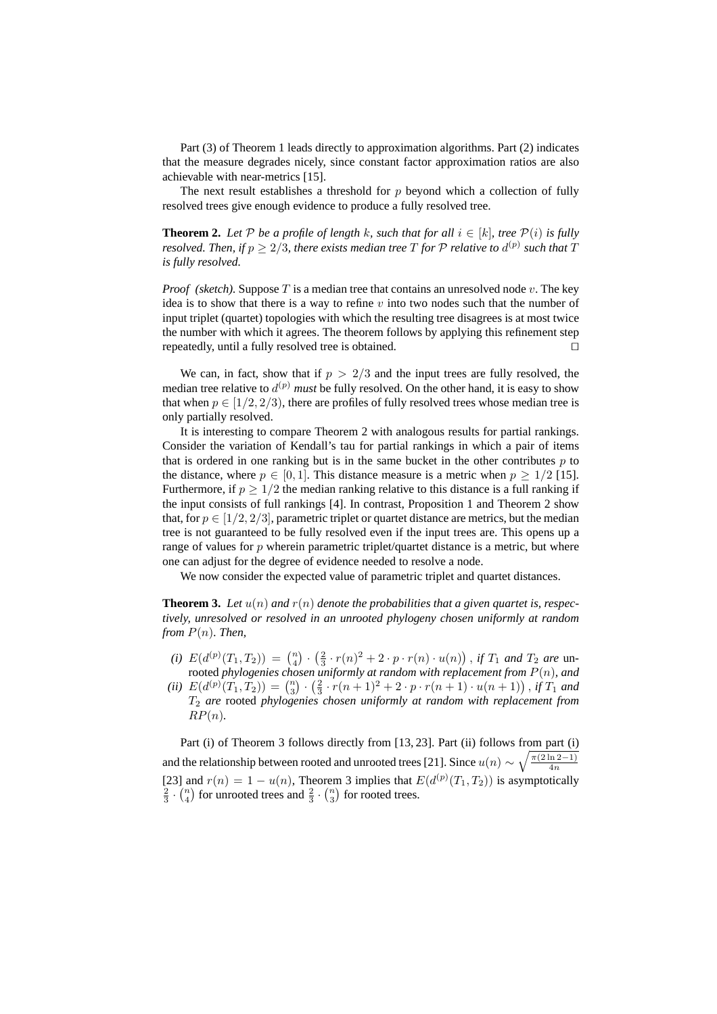Part (3) of Theorem 1 leads directly to approximation algorithms. Part (2) indicates that the measure degrades nicely, since constant factor approximation ratios are also achievable with near-metrics [15].

The next result establishes a threshold for  $p$  beyond which a collection of fully resolved trees give enough evidence to produce a fully resolved tree.

**Theorem 2.** Let  $P$  be a profile of length k, such that for all  $i \in [k]$ , tree  $P(i)$  is fully *resolved. Then, if*  $p \geq 2/3$ *, there exists median tree T for*  ${\mathcal P}$  *relative to*  $d^{(p)}$  *such that T is fully resolved.*

*Proof* (sketch). Suppose T is a median tree that contains an unresolved node v. The key idea is to show that there is a way to refine  $v$  into two nodes such that the number of input triplet (quartet) topologies with which the resulting tree disagrees is at most twice the number with which it agrees. The theorem follows by applying this refinement step repeatedly, until a fully resolved tree is obtained.  $\Box$ 

We can, in fact, show that if  $p > 2/3$  and the input trees are fully resolved, the median tree relative to  $d^{(p)}$  *must* be fully resolved. On the other hand, it is easy to show that when  $p \in [1/2, 2/3)$ , there are profiles of fully resolved trees whose median tree is only partially resolved.

It is interesting to compare Theorem 2 with analogous results for partial rankings. Consider the variation of Kendall's tau for partial rankings in which a pair of items that is ordered in one ranking but is in the same bucket in the other contributes  $p$  to the distance, where  $p \in [0, 1]$ . This distance measure is a metric when  $p \geq 1/2$  [15]. Furthermore, if  $p > 1/2$  the median ranking relative to this distance is a full ranking if the input consists of full rankings [4]. In contrast, Proposition 1 and Theorem 2 show that, for  $p \in [1/2, 2/3]$ , parametric triplet or quartet distance are metrics, but the median tree is not guaranteed to be fully resolved even if the input trees are. This opens up a range of values for  $p$  wherein parametric triplet/quartet distance is a metric, but where one can adjust for the degree of evidence needed to resolve a node.

We now consider the expected value of parametric triplet and quartet distances.

**Theorem 3.** Let  $u(n)$  and  $r(n)$  denote the probabilities that a given quartet is, respec*tively, unresolved or resolved in an unrooted phylogeny chosen uniformly at random from*  $P(n)$ *. Then,* 

- *(i)*  $E(d^{(p)}(T_1, T_2)) = {n \choose 4}$ ¢ ·  $\left(\frac{2}{3} \cdot r(n)^2 + 2 \cdot p \cdot r(n) \cdot u(n)\right)$ , *if*  $T_1$  *and*  $T_2$  *are* unrooted *phylogenies chosen uniformly at random with replacement from*  $P(n)$ *, and*
- rooted phylogenies chosen uniformly at random with replacement from  $P(n)$ , and<br>(ii)  $E(d^{(p)}(T_1, T_2)) = {n \choose 3} \cdot (\frac{2}{3} \cdot r(n+1)^2 + 2 \cdot p \cdot r(n+1) \cdot u(n+1))$ , if  $T_1$  and T<sup>2</sup> *are* rooted *phylogenies chosen uniformly at random with replacement from*  $RP(n)$ .

Part (i) of Theorem 3 follows directly from [13, 23]. Part (ii) follows from part (i) and the relationship between rooted and unrooted trees [21]. Since  $u(n) \sim \sqrt{\frac{\pi(2 \ln 2 - 1)}{4n}}$  $\frac{4n}{3}$ [23] and  $r(n) = 1 - u(n)$ , Theorem 3 implies that  $E(d^{(p)}(T_1, T_2))$  is asymptotically [25] and  $r(n) = 1 - u(n)$ , Theorem 3 implies that  $T_3 = \frac{2}{3} \cdot {n \choose 4}$  for unrooted trees and  $\frac{2}{3} \cdot {n \choose 3}$  for rooted trees.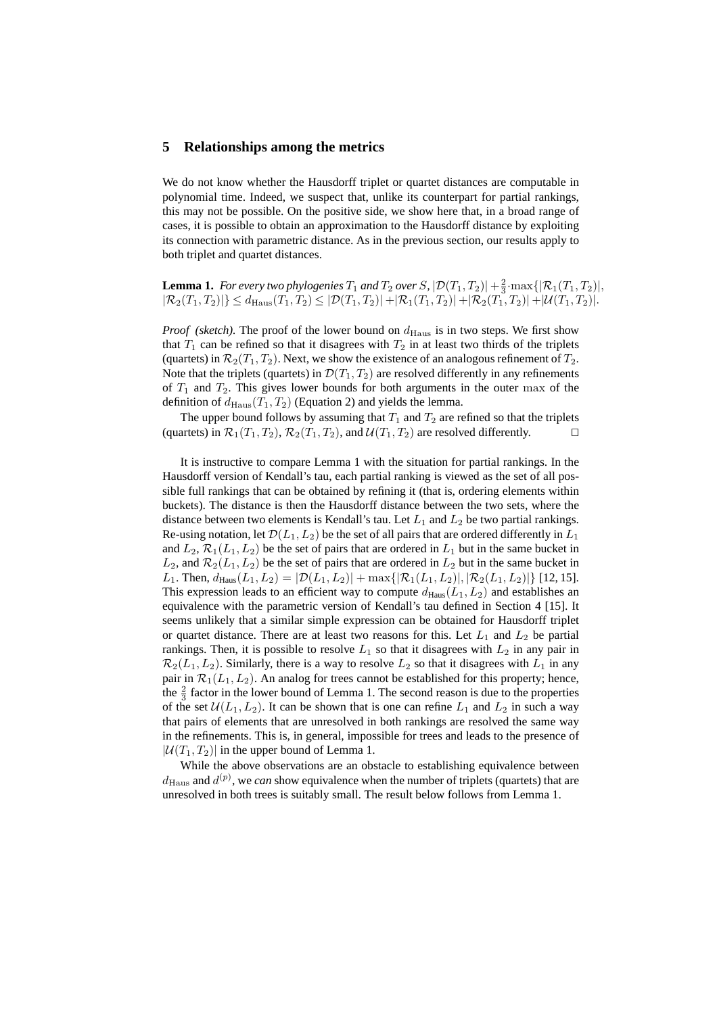# **5 Relationships among the metrics**

We do not know whether the Hausdorff triplet or quartet distances are computable in polynomial time. Indeed, we suspect that, unlike its counterpart for partial rankings, this may not be possible. On the positive side, we show here that, in a broad range of cases, it is possible to obtain an approximation to the Hausdorff distance by exploiting its connection with parametric distance. As in the previous section, our results apply to both triplet and quartet distances.

**Lemma 1.** For every two phylogenies  $T_1$  and  $T_2$  over  $S$ ,  $|\mathcal{D}(T_1,T_2)| + \frac{2}{3} \cdot \max{\{|\mathcal{R}_1(T_1,T_2)|\}}$  $|\mathcal{R}_2(T_1,T_2)| \leq d_{\text{Haus}}(T_1,T_2) \leq |\mathcal{D}(T_1,T_2)| + |\mathcal{R}_1(T_1,T_2)| + |\mathcal{R}_2(T_1,T_2)| + |\mathcal{U}(T_1,T_2)|.$ 

*Proof* (sketch). The proof of the lower bound on  $d_{\text{Haus}}$  is in two steps. We first show that  $T_1$  can be refined so that it disagrees with  $T_2$  in at least two thirds of the triplets (quartets) in  $\mathcal{R}_2(T_1, T_2)$ . Next, we show the existence of an analogous refinement of  $T_2$ . Note that the triplets (quartets) in  $\mathcal{D}(T_1, T_2)$  are resolved differently in any refinements of  $T_1$  and  $T_2$ . This gives lower bounds for both arguments in the outer max of the definition of  $d_{\text{Haus}}(T_1, T_2)$  (Equation 2) and yields the lemma.

The upper bound follows by assuming that  $T_1$  and  $T_2$  are refined so that the triplets (quartets) in  $\mathcal{R}_1(T_1, T_2)$ ,  $\mathcal{R}_2(T_1, T_2)$ , and  $\mathcal{U}(T_1, T_2)$  are resolved differently.

It is instructive to compare Lemma 1 with the situation for partial rankings. In the Hausdorff version of Kendall's tau, each partial ranking is viewed as the set of all possible full rankings that can be obtained by refining it (that is, ordering elements within buckets). The distance is then the Hausdorff distance between the two sets, where the distance between two elements is Kendall's tau. Let  $L_1$  and  $L_2$  be two partial rankings. Re-using notation, let  $\mathcal{D}(L_1, L_2)$  be the set of all pairs that are ordered differently in  $L_1$ and  $L_2$ ,  $\mathcal{R}_1(L_1, L_2)$  be the set of pairs that are ordered in  $L_1$  but in the same bucket in  $L_2$ , and  $\mathcal{R}_2(L_1, L_2)$  be the set of pairs that are ordered in  $L_2$  but in the same bucket in L<sub>1</sub>. Then,  $d_{\text{Haus}}(L_1, L_2) = |\mathcal{D}(L_1, L_2)| + \max\{|\mathcal{R}_1(L_1, L_2)|, |\mathcal{R}_2(L_1, L_2)|\}$  [12, 15]. This expression leads to an efficient way to compute  $d_{\text{Haus}}(L_1, L_2)$  and establishes an equivalence with the parametric version of Kendall's tau defined in Section 4 [15]. It seems unlikely that a similar simple expression can be obtained for Hausdorff triplet or quartet distance. There are at least two reasons for this. Let  $L_1$  and  $L_2$  be partial rankings. Then, it is possible to resolve  $L_1$  so that it disagrees with  $L_2$  in any pair in  $\mathcal{R}_2(L_1, L_2)$ . Similarly, there is a way to resolve  $L_2$  so that it disagrees with  $L_1$  in any pair in  $\mathcal{R}_1(L_1, L_2)$ . An analog for trees cannot be established for this property; hence, the  $\frac{2}{3}$  factor in the lower bound of Lemma 1. The second reason is due to the properties of the set  $U(L_1, L_2)$ . It can be shown that is one can refine  $L_1$  and  $L_2$  in such a way that pairs of elements that are unresolved in both rankings are resolved the same way in the refinements. This is, in general, impossible for trees and leads to the presence of  $|\mathcal{U}(T_1, T_2)|$  in the upper bound of Lemma 1.

While the above observations are an obstacle to establishing equivalence between  $d_{\text{Haus}}$  and  $d^{(p)}$ , we *can* show equivalence when the number of triplets (quartets) that are unresolved in both trees is suitably small. The result below follows from Lemma 1.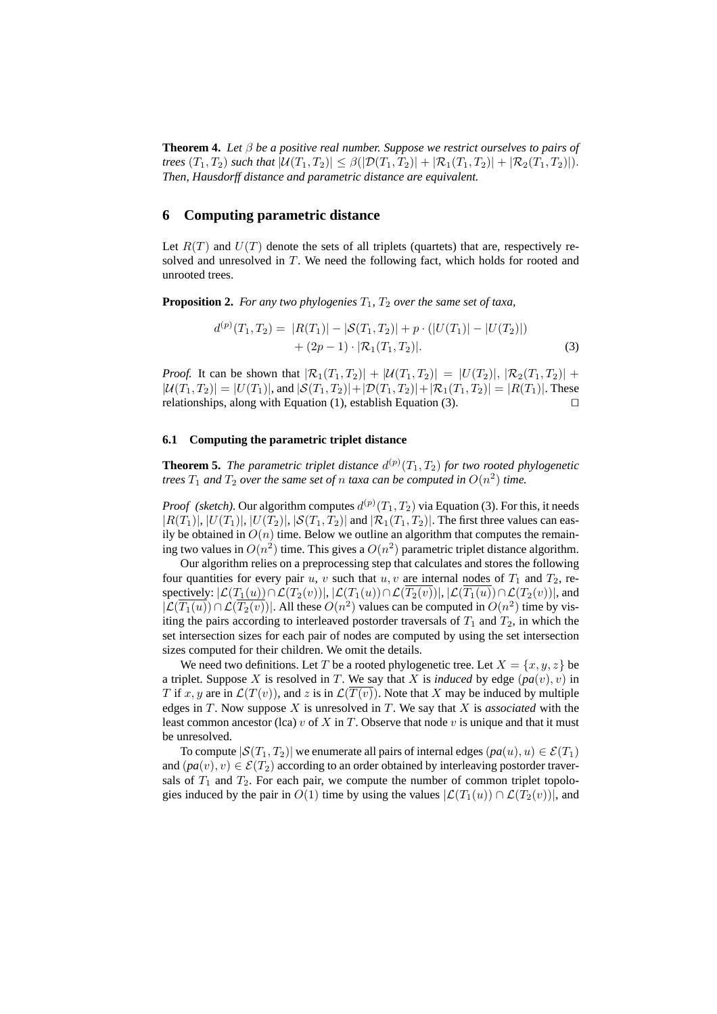**Theorem 4.** *Let* β *be a positive real number. Suppose we restrict ourselves to pairs of trees*  $(T_1, T_2)$  *such that*  $|\mathcal{U}(T_1, T_2)| \leq \beta(|\mathcal{D}(T_1, T_2)| + |\mathcal{R}_1(T_1, T_2)| + |\mathcal{R}_2(T_1, T_2)|$ . *Then, Hausdorff distance and parametric distance are equivalent.*

# **6 Computing parametric distance**

Let  $R(T)$  and  $U(T)$  denote the sets of all triplets (quartets) that are, respectively resolved and unresolved in T. We need the following fact, which holds for rooted and unrooted trees.

**Proposition 2.** *For any two phylogenies*  $T_1$ ,  $T_2$  *over the same set of taxa,* 

$$
d^{(p)}(T_1, T_2) = |R(T_1)| - |\mathcal{S}(T_1, T_2)| + p \cdot (|U(T_1)| - |U(T_2)|) + (2p - 1) \cdot |\mathcal{R}_1(T_1, T_2)|. \tag{3}
$$

*Proof.* It can be shown that  $|\mathcal{R}_1(T_1, T_2)| + |\mathcal{U}(T_1, T_2)| = |U(T_2)|, |\mathcal{R}_2(T_1, T_2)| +$  $|\mathcal{U}(T_1, T_2)| = |U(T_1)|$ , and  $|\mathcal{S}(T_1, T_2)| + |\mathcal{D}(T_1, T_2)| + |\mathcal{R}_1(T_1, T_2)| = |R(T_1)|$ . These relationships, along with Equation (1), establish Equation (3).  $\Box$ 

# **6.1 Computing the parametric triplet distance**

**Theorem 5.** The parametric triplet distance  $d^{(p)}(T_1, T_2)$  for two rooted phylogenetic trees  $T_1$  and  $T_2$  over the same set of  $n$  taxa can be computed in  $O(n^2)$  time.

*Proof* (sketch). Our algorithm computes  $d^{(p)}(T_1, T_2)$  via Equation (3). For this, it needs  $|R(T_1)|, |U(T_1)|, |U(T_2)|, |S(T_1, T_2)|$  and  $|R_1(T_1, T_2)|$ . The first three values can easily be obtained in  $O(n)$  time. Below we outline an algorithm that computes the remaining two values in  $O(n^2)$  time. This gives a  $O(n^2)$  parametric triplet distance algorithm.

Our algorithm relies on a preprocessing step that calculates and stores the following four quantities for every pair u, v such that  $u, v$  are internal nodes of  $T_1$  and  $T_2$ , respectively:  $|\mathcal{L}(T_1(u)) \cap \mathcal{L}(T_2(v))|, |\mathcal{L}(T_1(u)) \cap \mathcal{L}(T_2(v))|, |\mathcal{L}(T_1(u)) \cap \mathcal{L}(T_2(v))|$ , and  $|\mathcal{L}(\overline{T_1(u)}) \cap \mathcal{L}(\overline{T_2(v)})|$ . All these  $O(n^2)$  values can be computed in  $O(n^2)$  time by visiting the pairs according to interleaved postorder traversals of  $T_1$  and  $T_2$ , in which the set intersection sizes for each pair of nodes are computed by using the set intersection sizes computed for their children. We omit the details.

We need two definitions. Let T be a rooted phylogenetic tree. Let  $X = \{x, y, z\}$  be a triplet. Suppose X is resolved in T. We say that X is *induced* by edge  $(pa(v), v)$  in T if x, y are in  $\mathcal{L}(T(v))$ , and z is in  $\mathcal{L}(\overline{T(v)})$ . Note that X may be induced by multiple edges in T. Now suppose X is unresolved in T. We say that X is *associated* with the least common ancestor (lca)  $v$  of  $X$  in  $T$ . Observe that node  $v$  is unique and that it must be unresolved.

To compute  $|{\mathcal{S}}(T_1, T_2)|$  we enumerate all pairs of internal edges  $(pa(u), u) \in {\mathcal{E}}(T_1)$ and  $(pa(v), v) \in \mathcal{E}(T_2)$  according to an order obtained by interleaving postorder traversals of  $T_1$  and  $T_2$ . For each pair, we compute the number of common triplet topologies induced by the pair in  $O(1)$  time by using the values  $|\mathcal{L}(T_1(u)) \cap \mathcal{L}(T_2(v))|$ , and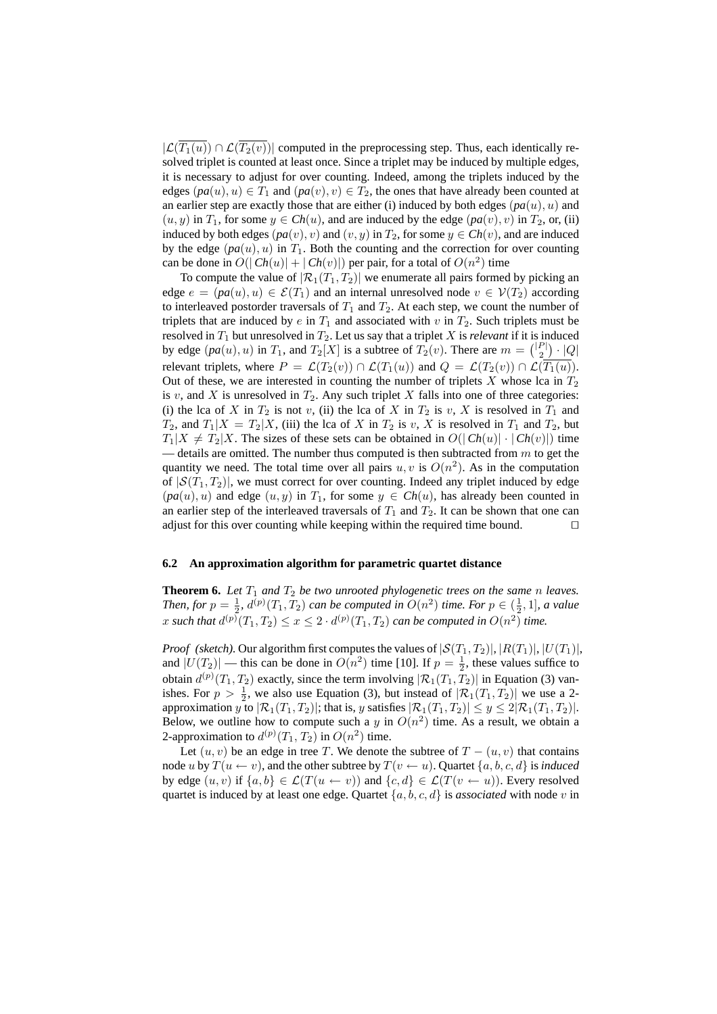$|\mathcal{L}(T_1(u)) \cap \mathcal{L}(T_2(v))|$  computed in the preprocessing step. Thus, each identically resolved triplet is counted at least once. Since a triplet may be induced by multiple edges, it is necessary to adjust for over counting. Indeed, among the triplets induced by the edges  $(pa(u), u) \in T_1$  and  $(pa(v), v) \in T_2$ , the ones that have already been counted at an earlier step are exactly those that are either (i) induced by both edges  $(pa(u), u)$  and  $(u, y)$  in  $T_1$ , for some  $y \in Ch(u)$ , and are induced by the edge  $(pa(v), v)$  in  $T_2$ , or, (ii) induced by both edges  $(pa(v), v)$  and  $(v, y)$  in  $T_2$ , for some  $y \in Ch(v)$ , and are induced by the edge  $(pa(u), u)$  in  $T_1$ . Both the counting and the correction for over counting can be done in  $O(|Ch(u)| + |Ch(v)|)$  per pair, for a total of  $O(n^2)$  time

To compute the value of  $|\mathcal{R}_1(T_1, T_2)|$  we enumerate all pairs formed by picking an edge  $e = (pa(u), u) \in \mathcal{E}(T_1)$  and an internal unresolved node  $v \in \mathcal{V}(T_2)$  according to interleaved postorder traversals of  $T_1$  and  $T_2$ . At each step, we count the number of triplets that are induced by  $e$  in  $T_1$  and associated with  $v$  in  $T_2$ . Such triplets must be resolved in  $T_1$  but unresolved in  $T_2$ . Let us say that a triplet X is *relevant* if it is induced by edge  $(pa(u), u)$  in  $T_1$ , and  $T_2[X]$  is a subtree of  $T_2(v)$ . There are  $m = \binom{|P|}{2} \cdot |Q|$ relevant triplets, where  $P = \mathcal{L}(T_2(v)) \cap \mathcal{L}(T_1(u))$  and  $Q = \mathcal{L}(T_2(v)) \cap \mathcal{L}(T_1(u))$ . Out of these, we are interested in counting the number of triplets X whose lca in  $T_2$ is v, and X is unresolved in  $T_2$ . Any such triplet X falls into one of three categories: (i) the lca of X in  $T_2$  is not v, (ii) the lca of X in  $T_2$  is v, X is resolved in  $T_1$  and  $T_2$ , and  $T_1|X = T_2|X$ , (iii) the lca of X in  $T_2$  is v, X is resolved in  $T_1$  and  $T_2$ , but  $T_1|X \neq T_2|X$ . The sizes of these sets can be obtained in  $O(|Ch(u)| \cdot |Ch(v)|)$  time — details are omitted. The number thus computed is then subtracted from  $m$  to get the quantity we need. The total time over all pairs  $u, v$  is  $O(n^2)$ . As in the computation of  $|{\mathcal{S}}(T_1, T_2)|$ , we must correct for over counting. Indeed any triplet induced by edge  $(pa(u), u)$  and edge  $(u, y)$  in  $T_1$ , for some  $y \in Ch(u)$ , has already been counted in an earlier step of the interleaved traversals of  $T_1$  and  $T_2$ . It can be shown that one can adjust for this over counting while keeping within the required time bound.  $\Box$ 

#### **6.2 An approximation algorithm for parametric quartet distance**

**Theorem 6.** Let  $T_1$  and  $T_2$  be two unrooted phylogenetic trees on the same n leaves. *Then, for*  $p = \frac{1}{2}$ ,  $d^{(p)}(T_1, T_2)$  *can be computed in*  $O(n^2)$  *time. For*  $p \in (\frac{1}{2}, 1]$ *, a value* x such that  $d^{(p)}(T_1, T_2) \le x \le 2 \cdot d^{(p)}(T_1, T_2)$  can be computed in  $O(n^2)$  time.

*Proof* (sketch). Our algorithm first computes the values of  $|{\mathcal{S}}(T_1, T_2)|, |R(T_1)|, |U(T_1)|,$ and  $|U(T_2)|$  — this can be done in  $O(n^2)$  time [10]. If  $p = \frac{1}{2}$ , these values suffice to obtain  $d^{(p)}(T_1, T_2)$  exactly, since the term involving  $|\mathcal{R}_1(T_1, T_2)|$  in Equation (3) vanishes. For  $p > \frac{1}{2}$ , we also use Equation (3), but instead of  $|\mathcal{R}_1(T_1, T_2)|$  we use a 2approximation y to  $|\mathcal{R}_1(T_1, T_2)|$ ; that is, y satisfies  $|\mathcal{R}_1(T_1, T_2)| \leq y \leq 2|\mathcal{R}_1(T_1, T_2)|$ . Below, we outline how to compute such a y in  $O(n^2)$  time. As a result, we obtain a 2-approximation to  $d^{(p)}(T_1, T_2)$  in  $O(n^2)$  time.

Let  $(u, v)$  be an edge in tree T. We denote the subtree of  $T - (u, v)$  that contains node u by  $T(u \leftarrow v)$ , and the other subtree by  $T(v \leftarrow u)$ . Quartet  $\{a, b, c, d\}$  is *induced* by edge  $(u, v)$  if  $\{a, b\} \in \mathcal{L}(T(u \leftarrow v))$  and  $\{c, d\} \in \mathcal{L}(T(v \leftarrow u))$ . Every resolved quartet is induced by at least one edge. Quartet  $\{a, b, c, d\}$  is *associated* with node v in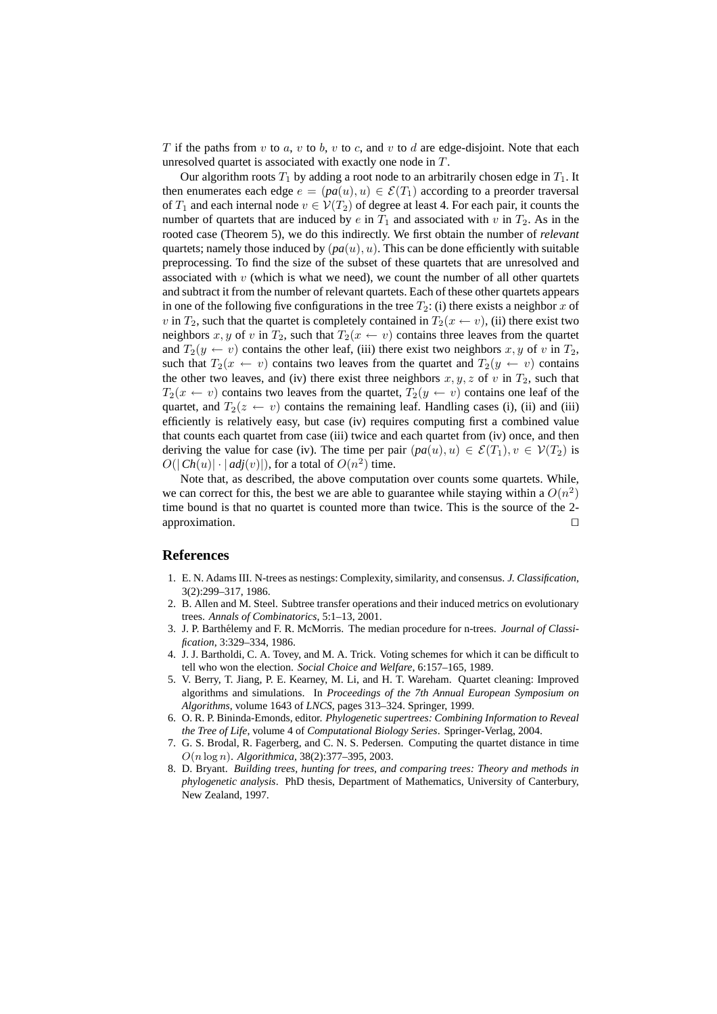T if the paths from v to a, v to b, v to c, and v to d are edge-disjoint. Note that each unresolved quartet is associated with exactly one node in T.

Our algorithm roots  $T_1$  by adding a root node to an arbitrarily chosen edge in  $T_1$ . It then enumerates each edge  $e = (pa(u), u) \in \mathcal{E}(T_1)$  according to a preorder traversal of  $T_1$  and each internal node  $v \in V(T_2)$  of degree at least 4. For each pair, it counts the number of quartets that are induced by e in  $T_1$  and associated with v in  $T_2$ . As in the rooted case (Theorem 5), we do this indirectly. We first obtain the number of *relevant* quartets; namely those induced by  $(pa(u), u)$ . This can be done efficiently with suitable preprocessing. To find the size of the subset of these quartets that are unresolved and associated with  $v$  (which is what we need), we count the number of all other quartets and subtract it from the number of relevant quartets. Each of these other quartets appears in one of the following five configurations in the tree  $T_2$ : (i) there exists a neighbor x of v in  $T_2$ , such that the quartet is completely contained in  $T_2(x \leftarrow v)$ , (ii) there exist two neighbors x, y of v in  $T_2$ , such that  $T_2(x \leftarrow v)$  contains three leaves from the quartet and  $T_2(y \leftarrow v)$  contains the other leaf, (iii) there exist two neighbors x, y of v in  $T_2$ , such that  $T_2(x \leftarrow v)$  contains two leaves from the quartet and  $T_2(y \leftarrow v)$  contains the other two leaves, and (iv) there exist three neighbors  $x, y, z$  of v in  $T_2$ , such that  $T_2(x \leftarrow v)$  contains two leaves from the quartet,  $T_2(y \leftarrow v)$  contains one leaf of the quartet, and  $T_2(z \leftarrow v)$  contains the remaining leaf. Handling cases (i), (ii) and (iii) efficiently is relatively easy, but case (iv) requires computing first a combined value that counts each quartet from case (iii) twice and each quartet from (iv) once, and then deriving the value for case (iv). The time per pair  $(pa(u), u) \in \mathcal{E}(T_1), v \in \mathcal{V}(T_2)$  is  $O(|Ch(u)| \cdot |adj(v)|)$ , for a total of  $O(n^2)$  time.

Note that, as described, the above computation over counts some quartets. While, we can correct for this, the best we are able to guarantee while staying within a  $O(n^2)$ time bound is that no quartet is counted more than twice. This is the source of the 2 approximation.  $\Box$ 

# **References**

- 1. E. N. Adams III. N-trees as nestings: Complexity, similarity, and consensus. *J. Classification*, 3(2):299–317, 1986.
- 2. B. Allen and M. Steel. Subtree transfer operations and their induced metrics on evolutionary trees. *Annals of Combinatorics*, 5:1–13, 2001.
- 3. J. P. Barthelemy and F. R. McMorris. The median procedure for n-trees. ´ *Journal of Classification*, 3:329–334, 1986.
- 4. J. J. Bartholdi, C. A. Tovey, and M. A. Trick. Voting schemes for which it can be difficult to tell who won the election. *Social Choice and Welfare*, 6:157–165, 1989.
- 5. V. Berry, T. Jiang, P. E. Kearney, M. Li, and H. T. Wareham. Quartet cleaning: Improved algorithms and simulations. In *Proceedings of the 7th Annual European Symposium on Algorithms*, volume 1643 of *LNCS*, pages 313–324. Springer, 1999.
- 6. O. R. P. Bininda-Emonds, editor. *Phylogenetic supertrees: Combining Information to Reveal the Tree of Life*, volume 4 of *Computational Biology Series*. Springer-Verlag, 2004.
- 7. G. S. Brodal, R. Fagerberg, and C. N. S. Pedersen. Computing the quartet distance in time O(n log n). *Algorithmica*, 38(2):377–395, 2003.
- 8. D. Bryant. *Building trees, hunting for trees, and comparing trees: Theory and methods in phylogenetic analysis*. PhD thesis, Department of Mathematics, University of Canterbury, New Zealand, 1997.